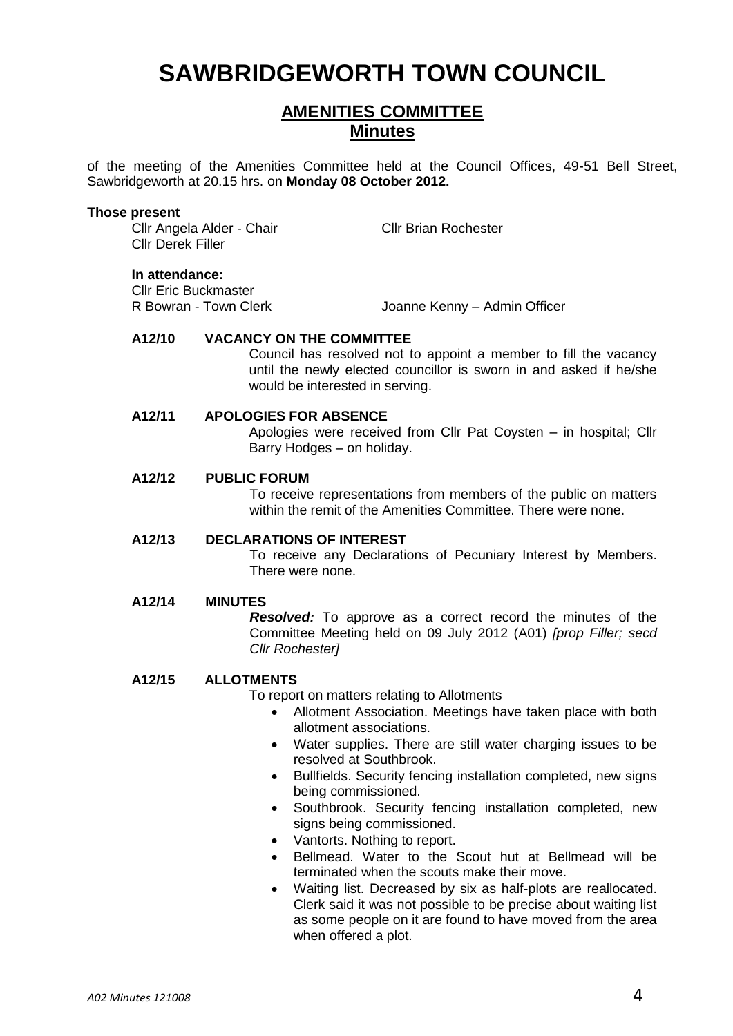# **SAWBRIDGEWORTH TOWN COUNCIL**

# **AMENITIES COMMITTEE Minutes**

of the meeting of the Amenities Committee held at the Council Offices, 49-51 Bell Street, Sawbridgeworth at 20.15 hrs. on **Monday 08 October 2012.**

#### **Those present**

Cllr Angela Alder - Chair Cllr Brian Rochester Cllr Derek Filler

#### **In attendance:**

**Cllr Eric Buckmaster<br>R Bowran - Town Clerk** 

Joanne Kenny – Admin Officer

# **A12/10 VACANCY ON THE COMMITTEE**

Council has resolved not to appoint a member to fill the vacancy until the newly elected councillor is sworn in and asked if he/she would be interested in serving.

#### **A12/11 APOLOGIES FOR ABSENCE**

Apologies were received from Cllr Pat Coysten – in hospital; Cllr Barry Hodges – on holiday.

#### **A12/12 PUBLIC FORUM**

To receive representations from members of the public on matters within the remit of the Amenities Committee. There were none.

#### **A12/13 DECLARATIONS OF INTEREST**

To receive any Declarations of Pecuniary Interest by Members. There were none.

#### **A12/14 MINUTES**

*Resolved:* To approve as a correct record the minutes of the Committee Meeting held on 09 July 2012 (A01) *[prop Filler; secd Cllr Rochester]*

#### **A12/15 ALLOTMENTS**

To report on matters relating to Allotments

- Allotment Association. Meetings have taken place with both allotment associations.
- Water supplies. There are still water charging issues to be resolved at Southbrook.
- Bullfields. Security fencing installation completed, new signs being commissioned.
- Southbrook. Security fencing installation completed, new signs being commissioned.
- Vantorts. Nothing to report.
- Bellmead. Water to the Scout hut at Bellmead will be terminated when the scouts make their move.
- Waiting list. Decreased by six as half-plots are reallocated. Clerk said it was not possible to be precise about waiting list as some people on it are found to have moved from the area when offered a plot.